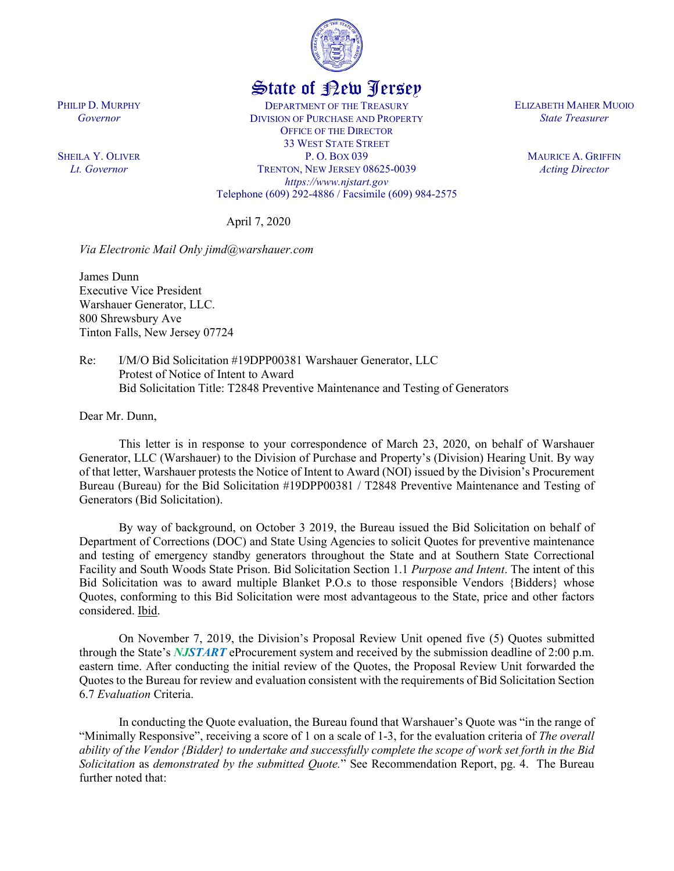

## State of New Jersey

DEPARTMENT OF THE TREASURY DIVISION OF PURCHASE AND PROPERTY OFFICE OF THE DIRECTOR 33 WEST STATE STREET P. O. BOX 039 TRENTON, NEW JERSEY 08625-0039 *https://www.njstart.gov* Telephone (609) 292-4886 / Facsimile (609) 984-2575

April 7, 2020

*Via Electronic Mail Only jimd@warshauer.com* 

James Dunn Executive Vice President Warshauer Generator, LLC. 800 Shrewsbury Ave Tinton Falls, New Jersey 07724

Re: I/M/O Bid Solicitation #19DPP00381 Warshauer Generator, LLC Protest of Notice of Intent to Award Bid Solicitation Title: T2848 Preventive Maintenance and Testing of Generators

Dear Mr. Dunn,

PHILIP D. MURPHY *Governor*

SHEILA Y. OLIVER *Lt. Governor*

> This letter is in response to your correspondence of March 23, 2020, on behalf of Warshauer Generator, LLC (Warshauer) to the Division of Purchase and Property's (Division) Hearing Unit. By way of that letter, Warshauer protests the Notice of Intent to Award (NOI) issued by the Division's Procurement Bureau (Bureau) for the Bid Solicitation #19DPP00381 / T2848 Preventive Maintenance and Testing of Generators (Bid Solicitation).

> By way of background, on October 3 2019, the Bureau issued the Bid Solicitation on behalf of Department of Corrections (DOC) and State Using Agencies to solicit Quotes for preventive maintenance and testing of emergency standby generators throughout the State and at Southern State Correctional Facility and South Woods State Prison. Bid Solicitation Section 1.1 *Purpose and Intent*. The intent of this Bid Solicitation was to award multiple Blanket P.O.s to those responsible Vendors {Bidders} whose Quotes, conforming to this Bid Solicitation were most advantageous to the State, price and other factors considered. Ibid.

> On November 7, 2019, the Division's Proposal Review Unit opened five (5) Quotes submitted through the State's *NJSTART* eProcurement system and received by the submission deadline of 2:00 p.m. eastern time. After conducting the initial review of the Quotes, the Proposal Review Unit forwarded the Quotes to the Bureau for review and evaluation consistent with the requirements of Bid Solicitation Section 6.7 *Evaluation* Criteria.

> In conducting the Quote evaluation, the Bureau found that Warshauer's Quote was "in the range of "Minimally Responsive", receiving a score of 1 on a scale of 1-3, for the evaluation criteria of *The overall ability of the Vendor {Bidder} to undertake and successfully complete the scope of work set forth in the Bid Solicitation* as *demonstrated by the submitted Quote.*" See Recommendation Report, pg. 4. The Bureau further noted that:

ELIZABETH MAHER MUOIO *State Treasurer*

> MAURICE A. GRIFFIN *Acting Director*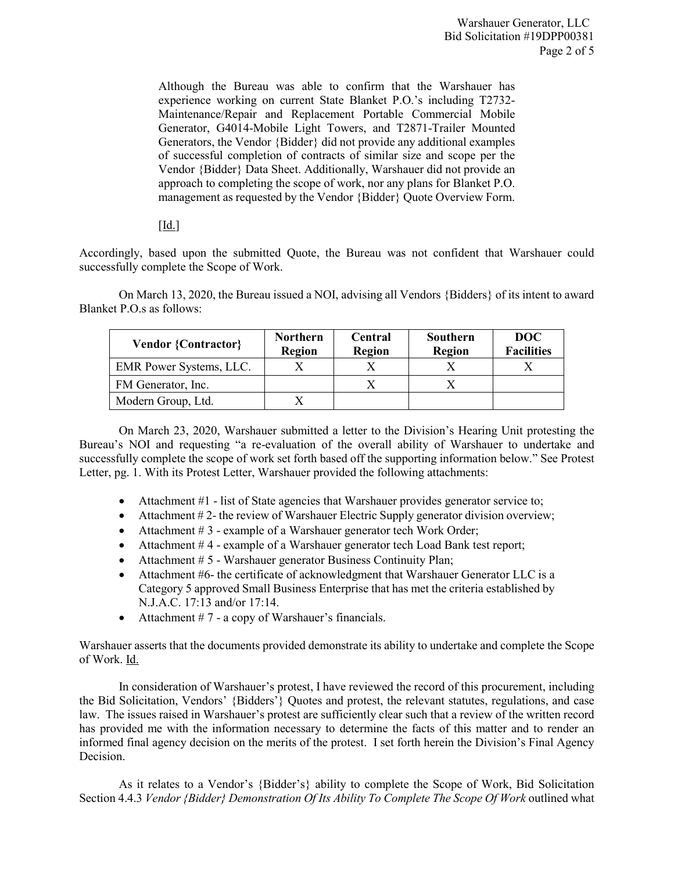Although the Bureau was able to confirm that the Warshauer has experience working on current State Blanket P.O.'s including T2732- Maintenance/Repair and Replacement Portable Commercial Mobile Generator, G4014-Mobile Light Towers, and T2871-Trailer Mounted Generators, the Vendor {Bidder} did not provide any additional examples of successful completion of contracts of similar size and scope per the Vendor {Bidder} Data Sheet. Additionally, Warshauer did not provide an approach to completing the scope of work, nor any plans for Blanket P.O. management as requested by the Vendor {Bidder} Quote Overview Form.

## $\lceil$ Id.]

Accordingly, based upon the submitted Quote, the Bureau was not confident that Warshauer could successfully complete the Scope of Work.

On March 13, 2020, the Bureau issued a NOI, advising all Vendors {Bidders} of its intent to award Blanket P.O.s as follows:

| <b>Vendor {Contractor}</b> | <b>Northern</b><br><b>Region</b> | Central<br>Region | Southern<br>Region | DOC<br><b>Facilities</b> |
|----------------------------|----------------------------------|-------------------|--------------------|--------------------------|
| EMR Power Systems, LLC.    |                                  |                   |                    |                          |
| FM Generator, Inc.         |                                  |                   |                    |                          |
| Modern Group, Ltd.         |                                  |                   |                    |                          |

On March 23, 2020, Warshauer submitted a letter to the Division's Hearing Unit protesting the Bureau's NOI and requesting "a re-evaluation of the overall ability of Warshauer to undertake and successfully complete the scope of work set forth based off the supporting information below." See Protest Letter, pg. 1. With its Protest Letter, Warshauer provided the following attachments:

- Attachment #1 list of State agencies that Warshauer provides generator service to;
- Attachment #2- the review of Warshauer Electric Supply generator division overview;
- Attachment #3 example of a Warshauer generator tech Work Order;
- Attachment #4 example of a Warshauer generator tech Load Bank test report;
- Attachment # 5 Warshauer generator Business Continuity Plan;
- Attachment #6- the certificate of acknowledgment that Warshauer Generator LLC is a Category 5 approved Small Business Enterprise that has met the criteria established by N.J.A.C. 17:13 and/or 17:14.
- Attachment  $# 7$  a copy of Warshauer's financials.

Warshauer asserts that the documents provided demonstrate its ability to undertake and complete the Scope of Work. Id.

In consideration of Warshauer's protest, I have reviewed the record of this procurement, including the Bid Solicitation, Vendors' {Bidders'} Quotes and protest, the relevant statutes, regulations, and case law. The issues raised in Warshauer's protest are sufficiently clear such that a review of the written record has provided me with the information necessary to determine the facts of this matter and to render an informed final agency decision on the merits of the protest. I set forth herein the Division's Final Agency Decision.

As it relates to a Vendor's {Bidder's} ability to complete the Scope of Work, Bid Solicitation Section 4.4.3 *Vendor {Bidder} Demonstration Of Its Ability To Complete The Scope Of Work* outlined what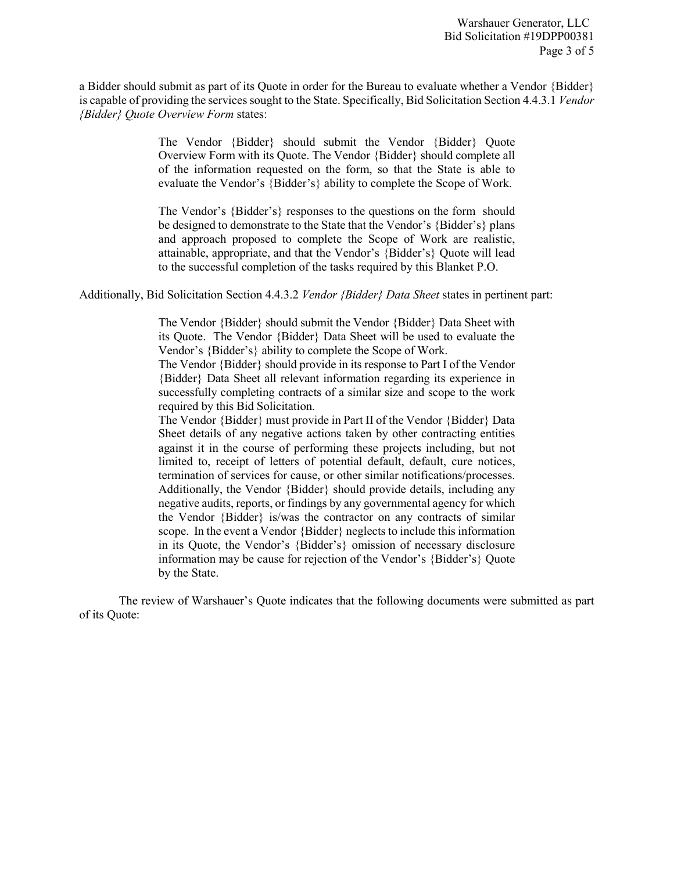a Bidder should submit as part of its Quote in order for the Bureau to evaluate whether a Vendor {Bidder} is capable of providing the services sought to the State. Specifically, Bid Solicitation Section 4.4.3.1 *Vendor {Bidder} Quote Overview Form* states:

> The Vendor {Bidder} should submit the Vendor {Bidder} Quote Overview Form with its Quote. The Vendor {Bidder} should complete all of the information requested on the form, so that the State is able to evaluate the Vendor's {Bidder's} ability to complete the Scope of Work.

> The Vendor's {Bidder's} responses to the questions on the form should be designed to demonstrate to the State that the Vendor's {Bidder's} plans and approach proposed to complete the Scope of Work are realistic, attainable, appropriate, and that the Vendor's {Bidder's} Quote will lead to the successful completion of the tasks required by this Blanket P.O.

Additionally, Bid Solicitation Section 4.4.3.2 *Vendor {Bidder} Data Sheet* states in pertinent part:

The Vendor {Bidder} should submit the Vendor {Bidder} Data Sheet with its Quote. The Vendor {Bidder} Data Sheet will be used to evaluate the Vendor's {Bidder's} ability to complete the Scope of Work.

The Vendor {Bidder} should provide in its response to Part I of the Vendor {Bidder} Data Sheet all relevant information regarding its experience in successfully completing contracts of a similar size and scope to the work required by this Bid Solicitation.

The Vendor {Bidder} must provide in Part II of the Vendor {Bidder} Data Sheet details of any negative actions taken by other contracting entities against it in the course of performing these projects including, but not limited to, receipt of letters of potential default, default, cure notices, termination of services for cause, or other similar notifications/processes. Additionally, the Vendor {Bidder} should provide details, including any negative audits, reports, or findings by any governmental agency for which the Vendor {Bidder} is/was the contractor on any contracts of similar scope. In the event a Vendor {Bidder} neglects to include this information in its Quote, the Vendor's {Bidder's} omission of necessary disclosure information may be cause for rejection of the Vendor's {Bidder's} Quote by the State.

The review of Warshauer's Quote indicates that the following documents were submitted as part of its Quote: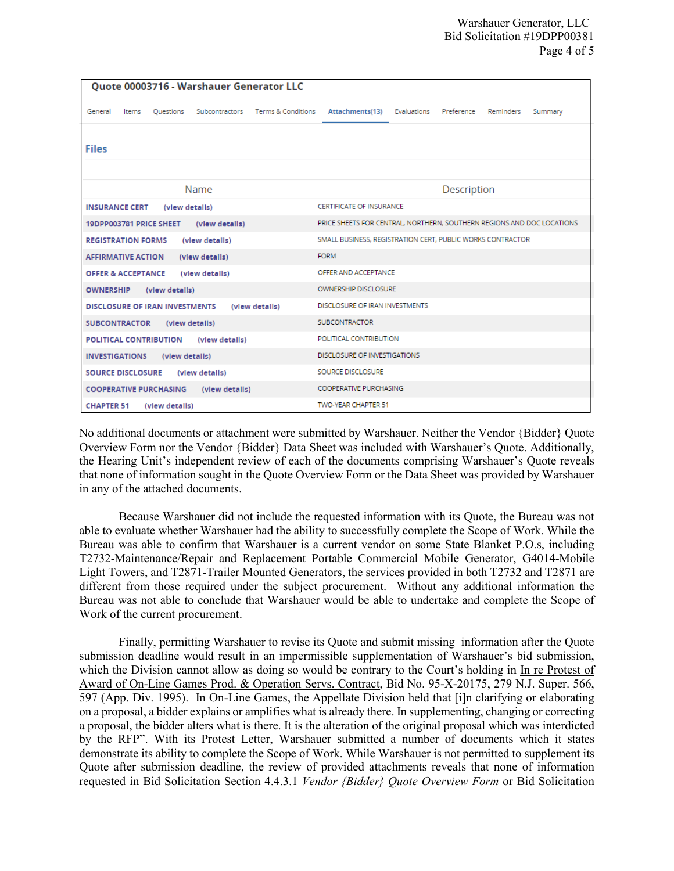| <b>Ouote 00003716 - Warshauer Generator LLC</b>                    |                                                                        |  |  |  |
|--------------------------------------------------------------------|------------------------------------------------------------------------|--|--|--|
| Subcontractors Terms & Conditions<br>General<br>Items<br>Questions | Attachments(13)<br>Evaluations<br>Preference<br>Reminders<br>Summary   |  |  |  |
|                                                                    |                                                                        |  |  |  |
| <b>Files</b>                                                       |                                                                        |  |  |  |
|                                                                    |                                                                        |  |  |  |
| Name                                                               | Description                                                            |  |  |  |
| <b>INSURANCE CERT</b><br>(view details)                            | <b>CERTIFICATE OF INSURANCE</b>                                        |  |  |  |
| 19DPP003781 PRICE SHEET<br>(view details)                          | PRICE SHEETS FOR CENTRAL, NORTHERN, SOUTHERN REGIONS AND DOC LOCATIONS |  |  |  |
| <b>REGISTRATION FORMS</b><br>(view details)                        | SMALL BUSINESS, REGISTRATION CERT, PUBLIC WORKS CONTRACTOR             |  |  |  |
| <b>AFFIRMATIVE ACTION</b><br>(view details)                        | <b>FORM</b>                                                            |  |  |  |
| <b>OFFER &amp; ACCEPTANCE</b><br>(view details)                    | OFFER AND ACCEPTANCE                                                   |  |  |  |
| <b>OWNERSHIP</b><br>(view details)                                 | <b>OWNERSHIP DISCLOSURE</b>                                            |  |  |  |
| <b>DISCLOSURE OF IRAN INVESTMENTS</b><br>(view details)            | DISCLOSURE OF IRAN INVESTMENTS                                         |  |  |  |
| <b>SUBCONTRACTOR</b><br>(view details)                             | <b>SUBCONTRACTOR</b>                                                   |  |  |  |
| <b>POLITICAL CONTRIBUTION</b><br>(view details)                    | POLITICAL CONTRIBUTION                                                 |  |  |  |
| <b>INVESTIGATIONS</b><br>(view details)                            | DISCLOSURE OF INVESTIGATIONS                                           |  |  |  |
| <b>SOURCE DISCLOSURE</b><br>(view details)                         | SOURCE DISCLOSURE                                                      |  |  |  |
| <b>COOPERATIVE PURCHASING</b><br>(view details)                    | <b>COOPERATIVE PURCHASING</b>                                          |  |  |  |
| <b>CHAPTER 51</b><br>(view details)                                | TWO-YEAR CHAPTER 51                                                    |  |  |  |

No additional documents or attachment were submitted by Warshauer. Neither the Vendor {Bidder} Quote Overview Form nor the Vendor {Bidder} Data Sheet was included with Warshauer's Quote. Additionally, the Hearing Unit's independent review of each of the documents comprising Warshauer's Quote reveals that none of information sought in the Quote Overview Form or the Data Sheet was provided by Warshauer in any of the attached documents.

Because Warshauer did not include the requested information with its Quote, the Bureau was not able to evaluate whether Warshauer had the ability to successfully complete the Scope of Work. While the Bureau was able to confirm that Warshauer is a current vendor on some State Blanket P.O.s, including T2732-Maintenance/Repair and Replacement Portable Commercial Mobile Generator, G4014-Mobile Light Towers, and T2871-Trailer Mounted Generators, the services provided in both T2732 and T2871 are different from those required under the subject procurement. Without any additional information the Bureau was not able to conclude that Warshauer would be able to undertake and complete the Scope of Work of the current procurement.

Finally, permitting Warshauer to revise its Quote and submit missing information after the Quote submission deadline would result in an impermissible supplementation of Warshauer's bid submission, which the Division cannot allow as doing so would be contrary to the Court's holding in In re Protest of Award of On-Line Games Prod. & Operation Servs. Contract, Bid No. 95-X-20175, 279 N.J. Super. 566, 597 (App. Div. 1995). In On-Line Games, the Appellate Division held that [i]n clarifying or elaborating on a proposal, a bidder explains or amplifies what is already there. In supplementing, changing or correcting a proposal, the bidder alters what is there. It is the alteration of the original proposal which was interdicted by the RFP". With its Protest Letter, Warshauer submitted a number of documents which it states demonstrate its ability to complete the Scope of Work. While Warshauer is not permitted to supplement its Quote after submission deadline, the review of provided attachments reveals that none of information requested in Bid Solicitation Section 4.4.3.1 *Vendor {Bidder} Quote Overview Form* or Bid Solicitation